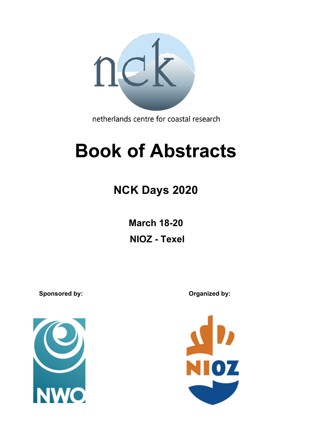

netherlands centre for coastal research

# **Book of Abstracts**

# **NCK Days 2020**

**March 18-20 NIOZ - Texel**

Sponsored by: **Consultance Consultance Consultance Consultance Consultance Consultance Consultance Consultance Consultance Consultance Consultance Consultance Consultance Consultance Consultance Consultance Consultance Con**